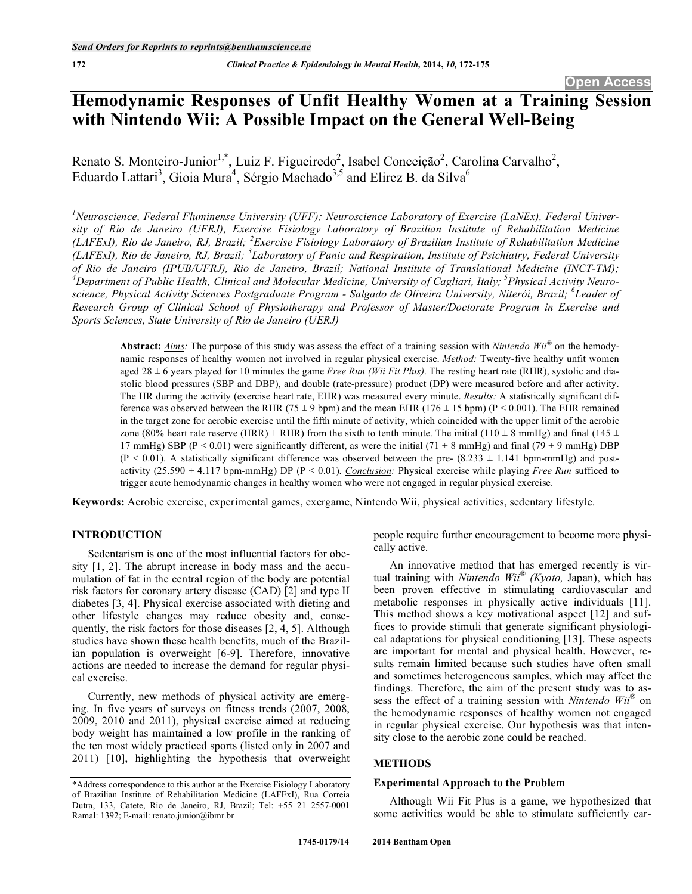# **Hemodynamic Responses of Unfit Healthy Women at a Training Session with Nintendo Wii: A Possible Impact on the General Well-Being**

Renato S. Monteiro-Junior<sup>1,\*</sup>, Luiz F. Figueiredo<sup>2</sup>, Isabel Conceição<sup>2</sup>, Carolina Carvalho<sup>2</sup>, Eduardo Lattari<sup>3</sup>, Gioia Mura<sup>4</sup>, Sérgio Machado<sup>3,5</sup> and Elirez B. da Silva<sup>6</sup>

<sup>1</sup> Neuroscience, Federal Fluminense University (UFF); Neuroscience Laboratory of Exercise (LaNEx), Federal Univer*sity of Rio de Janeiro (UFRJ), Exercise Fisiology Laboratory of Brazilian Institute of Rehabilitation Medicine (LAFExI), Rio de Janeiro, RJ, Brazil; <sup>2</sup> Exercise Fisiology Laboratory of Brazilian Institute of Rehabilitation Medicine (LAFExI), Rio de Janeiro, RJ, Brazil; <sup>3</sup> Laboratory of Panic and Respiration, Institute of Psichiatry, Federal University of Rio de Janeiro (IPUB/UFRJ), Rio de Janeiro, Brazil; National Institute of Translational Medicine (INCT-TM);*  <sup>4</sup>Department of Public Health, Clinical and Molecular Medicine, University of Cagliari, Italy; <sup>5</sup>Physical Activity Neuro*science, Physical Activity Sciences Postgraduate Program - Salgado de Oliveira University, Niterói, Brazil; <sup>6</sup> Leader of Research Group of Clinical School of Physiotherapy and Professor of Master/Doctorate Program in Exercise and Sports Sciences, State University of Rio de Janeiro (UERJ)* 

**Abstract:** *Aims:* The purpose of this study was assess the effect of a training session with *Nintendo Wii®* on the hemodynamic responses of healthy women not involved in regular physical exercise. *Method:* Twenty-five healthy unfit women aged  $28 \pm 6$  years played for 10 minutes the game *Free Run (Wii Fit Plus)*. The resting heart rate (RHR), systolic and diastolic blood pressures (SBP and DBP), and double (rate-pressure) product (DP) were measured before and after activity. The HR during the activity (exercise heart rate, EHR) was measured every minute. *Results:* A statistically significant difference was observed between the RHR (75  $\pm$  9 bpm) and the mean EHR (176  $\pm$  15 bpm) (P < 0.001). The EHR remained in the target zone for aerobic exercise until the fifth minute of activity, which coincided with the upper limit of the aerobic zone (80% heart rate reserve (HRR) + RHR) from the sixth to tenth minute. The initial (110  $\pm$  8 mmHg) and final (145  $\pm$ 17 mmHg) SBP (P < 0.01) were significantly different, as were the initial (71  $\pm$  8 mmHg) and final (79  $\pm$  9 mmHg) DBP  $(P < 0.01)$ . A statistically significant difference was observed between the pre-  $(8.233 \pm 1.141$  bpm-mmHg) and postactivity (25.590 ± 4.117 bpm-mmHg) DP (P < 0.01). *Conclusion:* Physical exercise while playing *Free Run* sufficed to trigger acute hemodynamic changes in healthy women who were not engaged in regular physical exercise.

**Keywords:** Aerobic exercise, experimental games, exergame, Nintendo Wii, physical activities, sedentary lifestyle.

# **INTRODUCTION**

Sedentarism is one of the most influential factors for obesity [1, 2]. The abrupt increase in body mass and the accumulation of fat in the central region of the body are potential risk factors for coronary artery disease (CAD) [2] and type II diabetes [3, 4]. Physical exercise associated with dieting and other lifestyle changes may reduce obesity and, consequently, the risk factors for those diseases [2, 4, 5]. Although studies have shown these health benefits, much of the Brazilian population is overweight [6-9]. Therefore, innovative actions are needed to increase the demand for regular physical exercise.

Currently, new methods of physical activity are emerging. In five years of surveys on fitness trends (2007, 2008, 2009, 2010 and 2011), physical exercise aimed at reducing body weight has maintained a low profile in the ranking of the ten most widely practiced sports (listed only in 2007 and 2011) [10], highlighting the hypothesis that overweight

people require further encouragement to become more physically active.

An innovative method that has emerged recently is virtual training with *Nintendo Wii® (Kyoto,* Japan), which has been proven effective in stimulating cardiovascular and metabolic responses in physically active individuals [11]. This method shows a key motivational aspect [12] and suffices to provide stimuli that generate significant physiological adaptations for physical conditioning [13]. These aspects are important for mental and physical health. However, results remain limited because such studies have often small and sometimes heterogeneous samples, which may affect the findings. Therefore, the aim of the present study was to assess the effect of a training session with *Nintendo Wii®* on the hemodynamic responses of healthy women not engaged in regular physical exercise. Our hypothesis was that intensity close to the aerobic zone could be reached.

#### **METHODS**

#### **Experimental Approach to the Problem**

Although Wii Fit Plus is a game, we hypothesized that some activities would be able to stimulate sufficiently car-

<sup>\*</sup>Address correspondence to this author at the Exercise Fisiology Laboratory of Brazilian Institute of Rehabilitation Medicine (LAFExI), Rua Correia Dutra, 133, Catete, Rio de Janeiro, RJ, Brazil; Tel: +55 21 2557-0001 Ramal: 1392; E-mail: renato.junior@ibmr.br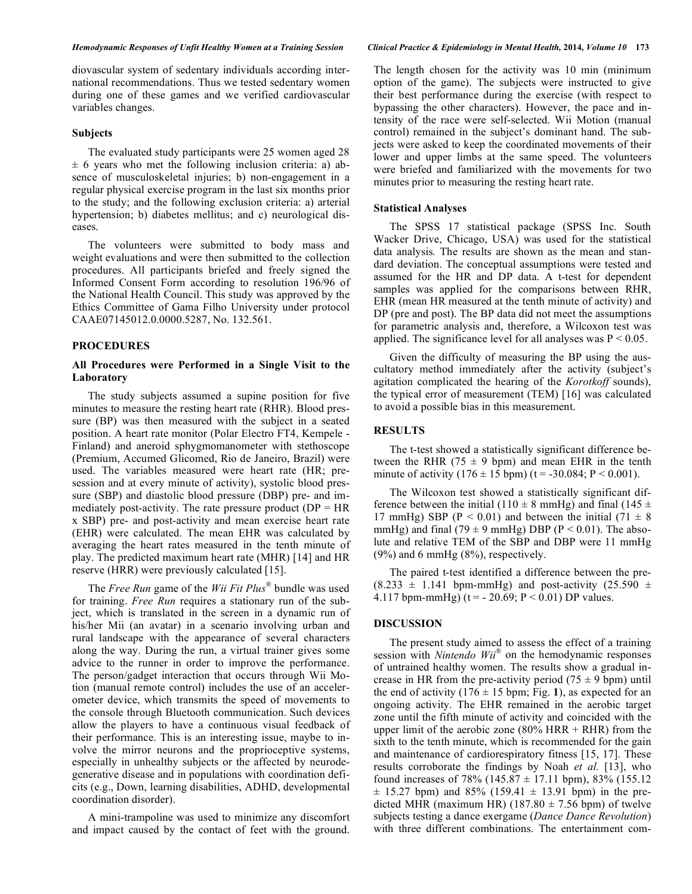diovascular system of sedentary individuals according international recommendations. Thus we tested sedentary women during one of these games and we verified cardiovascular variables changes.

#### **Subjects**

The evaluated study participants were 25 women aged 28  $\pm$  6 years who met the following inclusion criteria: a) absence of musculoskeletal injuries; b) non-engagement in a regular physical exercise program in the last six months prior to the study; and the following exclusion criteria: a) arterial hypertension; b) diabetes mellitus; and c) neurological diseases.

The volunteers were submitted to body mass and weight evaluations and were then submitted to the collection procedures. All participants briefed and freely signed the Informed Consent Form according to resolution 196/96 of the National Health Council. This study was approved by the Ethics Committee of Gama Filho University under protocol CAAE07145012.0.0000.5287, No. 132.561.

#### **PROCEDURES**

## **All Procedures were Performed in a Single Visit to the Laboratory**

The study subjects assumed a supine position for five minutes to measure the resting heart rate (RHR). Blood pressure (BP) was then measured with the subject in a seated position. A heart rate monitor (Polar Electro FT4, Kempele - Finland) and aneroid sphygmomanometer with stethoscope (Premium, Accumed Glicomed, Rio de Janeiro, Brazil) were used. The variables measured were heart rate (HR; presession and at every minute of activity), systolic blood pressure (SBP) and diastolic blood pressure (DBP) pre- and immediately post-activity. The rate pressure product  $(DP = HR)$ x SBP) pre- and post-activity and mean exercise heart rate (EHR) were calculated. The mean EHR was calculated by averaging the heart rates measured in the tenth minute of play. The predicted maximum heart rate (MHR) [14] and HR reserve (HRR) were previously calculated [15].

The *Free Run* game of the *Wii Fit Plus®* bundle was used for training. *Free Run* requires a stationary run of the subject, which is translated in the screen in a dynamic run of his/her Mii (an avatar) in a scenario involving urban and rural landscape with the appearance of several characters along the way. During the run, a virtual trainer gives some advice to the runner in order to improve the performance. The person/gadget interaction that occurs through Wii Motion (manual remote control) includes the use of an accelerometer device, which transmits the speed of movements to the console through Bluetooth communication. Such devices allow the players to have a continuous visual feedback of their performance. This is an interesting issue, maybe to involve the mirror neurons and the proprioceptive systems, especially in unhealthy subjects or the affected by neurodegenerative disease and in populations with coordination deficits (e.g., Down, learning disabilities, ADHD, developmental coordination disorder).

A mini-trampoline was used to minimize any discomfort and impact caused by the contact of feet with the ground.

The length chosen for the activity was 10 min (minimum option of the game). The subjects were instructed to give their best performance during the exercise (with respect to bypassing the other characters). However, the pace and intensity of the race were self-selected. Wii Motion (manual control) remained in the subject's dominant hand. The subjects were asked to keep the coordinated movements of their lower and upper limbs at the same speed. The volunteers were briefed and familiarized with the movements for two minutes prior to measuring the resting heart rate.

#### **Statistical Analyses**

The SPSS 17 statistical package (SPSS Inc. South Wacker Drive, Chicago, USA) was used for the statistical data analysis*.* The results are shown as the mean and standard deviation. The conceptual assumptions were tested and assumed for the HR and DP data. A t-test for dependent samples was applied for the comparisons between RHR, EHR (mean HR measured at the tenth minute of activity) and DP (pre and post). The BP data did not meet the assumptions for parametric analysis and, therefore, a Wilcoxon test was applied. The significance level for all analyses was  $P < 0.05$ .

Given the difficulty of measuring the BP using the auscultatory method immediately after the activity (subject's agitation complicated the hearing of the *Korotkoff* sounds), the typical error of measurement (TEM) [16] was calculated to avoid a possible bias in this measurement.

#### **RESULTS**

The t-test showed a statistically significant difference between the RHR (75  $\pm$  9 bpm) and mean EHR in the tenth minute of activity  $(176 \pm 15 \text{ bpm})$  (t = -30.084; P < 0.001).

The Wilcoxon test showed a statistically significant difference between the initial (110  $\pm$  8 mmHg) and final (145  $\pm$ 17 mmHg) SBP ( $P < 0.01$ ) and between the initial (71  $\pm$  8) mmHg) and final (79  $\pm$  9 mmHg) DBP (P < 0.01). The absolute and relative TEM of the SBP and DBP were 11 mmHg (9%) and 6 mmHg (8%), respectively.

The paired t-test identified a difference between the pre-  $(8.233 \pm 1.141$  bpm-mmHg) and post-activity  $(25.590 \pm 1.141)$ 4.117 bpm-mmHg) (t = - 20.69;  $P < 0.01$ ) DP values.

#### **DISCUSSION**

The present study aimed to assess the effect of a training session with *Nintendo Wii®* on the hemodynamic responses of untrained healthy women. The results show a gradual increase in HR from the pre-activity period (75  $\pm$  9 bpm) until the end of activity  $(176 \pm 15 \text{ bpm}$ ; Fig. 1), as expected for an ongoing activity. The EHR remained in the aerobic target zone until the fifth minute of activity and coincided with the upper limit of the aerobic zone  $(80\%$  HRR + RHR) from the sixth to the tenth minute, which is recommended for the gain and maintenance of cardiorespiratory fitness [15, 17]. These results corroborate the findings by Noah *et al.* [13], who found increases of 78% (145.87  $\pm$  17.11 bpm), 83% (155.12  $\pm$  15.27 bpm) and 85% (159.41  $\pm$  13.91 bpm) in the predicted MHR (maximum HR) (187.80  $\pm$  7.56 bpm) of twelve subjects testing a dance exergame (*Dance Dance Revolution*) with three different combinations. The entertainment com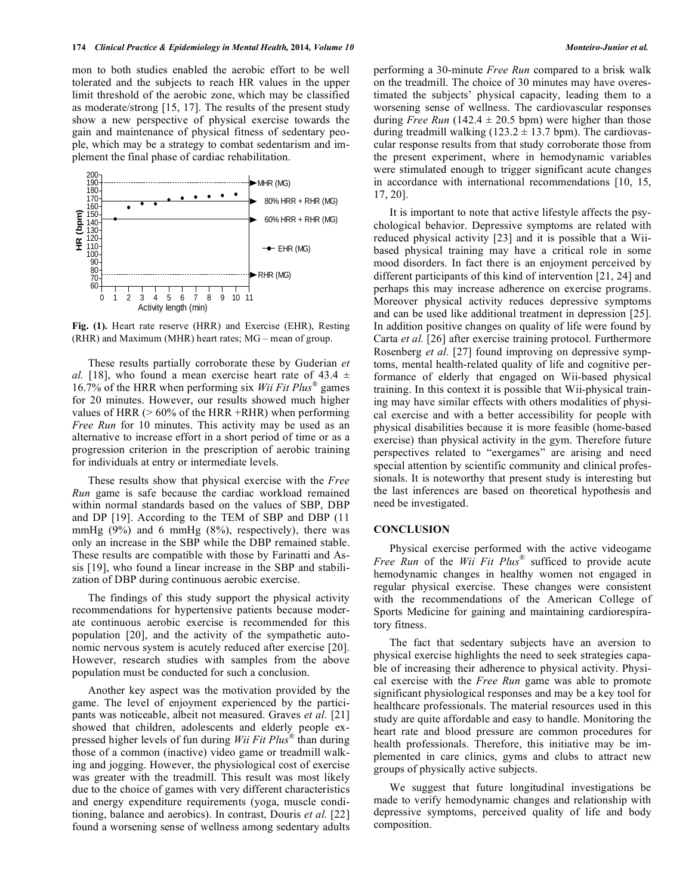mon to both studies enabled the aerobic effort to be well tolerated and the subjects to reach HR values in the upper limit threshold of the aerobic zone, which may be classified as moderate/strong [15, 17]. The results of the present study show a new perspective of physical exercise towards the gain and maintenance of physical fitness of sedentary people, which may be a strategy to combat sedentarism and implement the final phase of cardiac rehabilitation.



**Fig. (1).** Heart rate reserve (HRR) and Exercise (EHR), Resting (RHR) and Maximum (MHR) heart rates; MG – mean of group.

These results partially corroborate these by Guderian *et al.* [18], who found a mean exercise heart rate of  $43.4 \pm$ 16.7% of the HRR when performing six *Wii Fit Plus®* games for 20 minutes. However, our results showed much higher values of HRR  $(> 60\%$  of the HRR +RHR) when performing *Free Run* for 10 minutes. This activity may be used as an alternative to increase effort in a short period of time or as a progression criterion in the prescription of aerobic training for individuals at entry or intermediate levels.

These results show that physical exercise with the *Free Run* game is safe because the cardiac workload remained within normal standards based on the values of SBP, DBP and DP [19]. According to the TEM of SBP and DBP (11 mmHg  $(9\%)$  and 6 mmHg  $(8\%)$ , respectively), there was only an increase in the SBP while the DBP remained stable. These results are compatible with those by Farinatti and Assis [19], who found a linear increase in the SBP and stabilization of DBP during continuous aerobic exercise.

The findings of this study support the physical activity recommendations for hypertensive patients because moderate continuous aerobic exercise is recommended for this population [20], and the activity of the sympathetic autonomic nervous system is acutely reduced after exercise [20]. However, research studies with samples from the above population must be conducted for such a conclusion.

Another key aspect was the motivation provided by the game. The level of enjoyment experienced by the participants was noticeable, albeit not measured. Graves *et al.* [21] showed that children, adolescents and elderly people expressed higher levels of fun during *Wii Fit Plus®* than during those of a common (inactive) video game or treadmill walking and jogging. However, the physiological cost of exercise was greater with the treadmill. This result was most likely due to the choice of games with very different characteristics and energy expenditure requirements (yoga, muscle conditioning, balance and aerobics). In contrast, Douris *et al.* [22] found a worsening sense of wellness among sedentary adults performing a 30-minute *Free Run* compared to a brisk walk on the treadmill. The choice of 30 minutes may have overestimated the subjects' physical capacity, leading them to a worsening sense of wellness. The cardiovascular responses during *Free Run* (142.4  $\pm$  20.5 bpm) were higher than those during treadmill walking  $(123.2 \pm 13.7)$  bpm). The cardiovascular response results from that study corroborate those from the present experiment, where in hemodynamic variables were stimulated enough to trigger significant acute changes in accordance with international recommendations [10, 15, 17, 20].

It is important to note that active lifestyle affects the psychological behavior. Depressive symptoms are related with reduced physical activity [23] and it is possible that a Wiibased physical training may have a critical role in some mood disorders. In fact there is an enjoyment perceived by different participants of this kind of intervention [21, 24] and perhaps this may increase adherence on exercise programs. Moreover physical activity reduces depressive symptoms and can be used like additional treatment in depression [25]. In addition positive changes on quality of life were found by Carta *et al.* [26] after exercise training protocol. Furthermore Rosenberg *et al.* [27] found improving on depressive symptoms, mental health-related quality of life and cognitive performance of elderly that engaged on Wii-based physical training. In this context it is possible that Wii-physical training may have similar effects with others modalities of physical exercise and with a better accessibility for people with physical disabilities because it is more feasible (home-based exercise) than physical activity in the gym. Therefore future perspectives related to "exergames" are arising and need special attention by scientific community and clinical professionals. It is noteworthy that present study is interesting but the last inferences are based on theoretical hypothesis and need be investigated.

#### **CONCLUSION**

Physical exercise performed with the active videogame *Free Run* of the *Wii Fit Plus®* sufficed to provide acute hemodynamic changes in healthy women not engaged in regular physical exercise. These changes were consistent with the recommendations of the American College of Sports Medicine for gaining and maintaining cardiorespiratory fitness.

The fact that sedentary subjects have an aversion to physical exercise highlights the need to seek strategies capable of increasing their adherence to physical activity. Physical exercise with the *Free Run* game was able to promote significant physiological responses and may be a key tool for healthcare professionals. The material resources used in this study are quite affordable and easy to handle. Monitoring the heart rate and blood pressure are common procedures for health professionals. Therefore, this initiative may be implemented in care clinics, gyms and clubs to attract new groups of physically active subjects.

We suggest that future longitudinal investigations be made to verify hemodynamic changes and relationship with depressive symptoms, perceived quality of life and body composition.